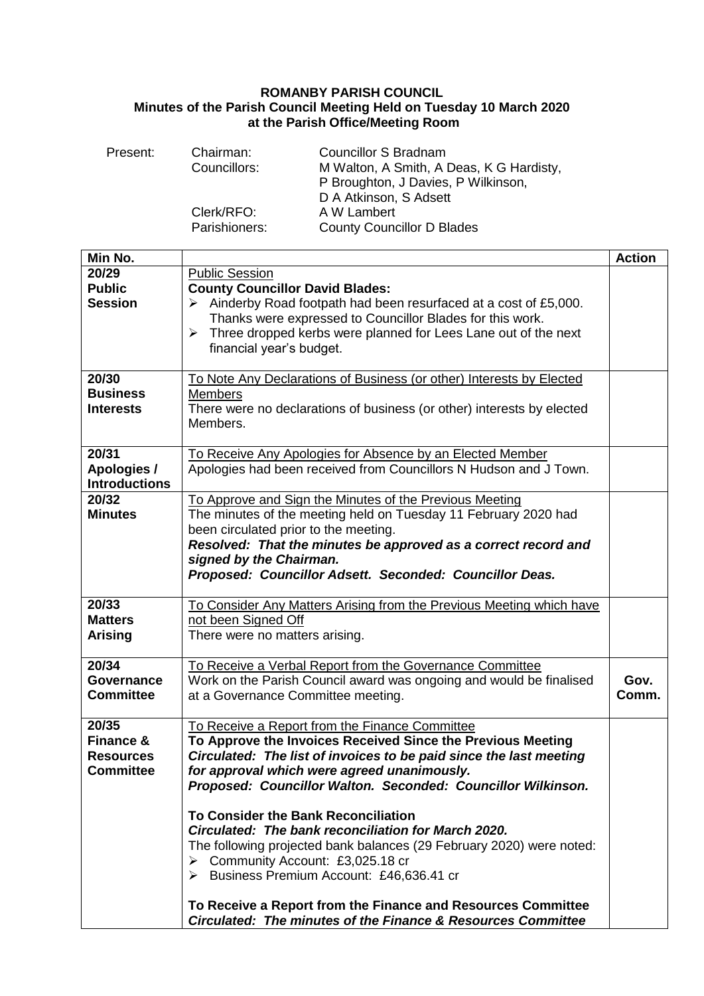## **ROMANBY PARISH COUNCIL Minutes of the Parish Council Meeting Held on Tuesday 10 March 2020 at the Parish Office/Meeting Room**

| Present: | Chairman:     | <b>Councillor S Bradnam</b>              |
|----------|---------------|------------------------------------------|
|          | Councillors:  | M Walton, A Smith, A Deas, K G Hardisty, |
|          |               | P Broughton, J Davies, P Wilkinson,      |
|          |               | D A Atkinson, S Adsett                   |
|          | Clerk/RFO:    | A W Lambert                              |
|          | Parishioners: | <b>County Councillor D Blades</b>        |

| Min No.                             |                                                                                                                            | <b>Action</b> |
|-------------------------------------|----------------------------------------------------------------------------------------------------------------------------|---------------|
| 20/29                               | <b>Public Session</b>                                                                                                      |               |
| <b>Public</b>                       | <b>County Councillor David Blades:</b>                                                                                     |               |
| <b>Session</b>                      | $\triangleright$ Ainderby Road footpath had been resurfaced at a cost of £5,000.                                           |               |
|                                     | Thanks were expressed to Councillor Blades for this work.                                                                  |               |
|                                     | Three dropped kerbs were planned for Lees Lane out of the next<br>$\blacktriangleright$                                    |               |
|                                     | financial year's budget.                                                                                                   |               |
|                                     |                                                                                                                            |               |
| 20/30                               | To Note Any Declarations of Business (or other) Interests by Elected                                                       |               |
| <b>Business</b>                     | Members                                                                                                                    |               |
| <b>Interests</b>                    | There were no declarations of business (or other) interests by elected                                                     |               |
|                                     | Members.                                                                                                                   |               |
|                                     |                                                                                                                            |               |
| 20/31                               | To Receive Any Apologies for Absence by an Elected Member                                                                  |               |
| Apologies /<br><b>Introductions</b> | Apologies had been received from Councillors N Hudson and J Town.                                                          |               |
| 20/32                               |                                                                                                                            |               |
| <b>Minutes</b>                      | To Approve and Sign the Minutes of the Previous Meeting<br>The minutes of the meeting held on Tuesday 11 February 2020 had |               |
|                                     | been circulated prior to the meeting.                                                                                      |               |
|                                     | Resolved: That the minutes be approved as a correct record and                                                             |               |
|                                     | signed by the Chairman.                                                                                                    |               |
|                                     | Proposed: Councillor Adsett. Seconded: Councillor Deas.                                                                    |               |
|                                     |                                                                                                                            |               |
| 20/33                               | To Consider Any Matters Arising from the Previous Meeting which have                                                       |               |
| <b>Matters</b>                      | not been Signed Off                                                                                                        |               |
| <b>Arising</b>                      | There were no matters arising.                                                                                             |               |
|                                     |                                                                                                                            |               |
| 20/34                               | To Receive a Verbal Report from the Governance Committee                                                                   |               |
| <b>Governance</b>                   | Work on the Parish Council award was ongoing and would be finalised                                                        | Gov.          |
| <b>Committee</b>                    | at a Governance Committee meeting.                                                                                         | Comm.         |
|                                     |                                                                                                                            |               |
| 20/35                               | To Receive a Report from the Finance Committee                                                                             |               |
| Finance &                           | To Approve the Invoices Received Since the Previous Meeting                                                                |               |
| <b>Resources</b>                    | Circulated: The list of invoices to be paid since the last meeting                                                         |               |
| <b>Committee</b>                    | for approval which were agreed unanimously.                                                                                |               |
|                                     | Proposed: Councillor Walton. Seconded: Councillor Wilkinson.                                                               |               |
|                                     |                                                                                                                            |               |
|                                     | To Consider the Bank Reconciliation                                                                                        |               |
|                                     | Circulated: The bank reconciliation for March 2020.                                                                        |               |
|                                     | The following projected bank balances (29 February 2020) were noted:                                                       |               |
|                                     | Community Account: £3,025.18 cr<br>➤                                                                                       |               |
|                                     | > Business Premium Account: £46,636.41 cr                                                                                  |               |
|                                     | To Receive a Report from the Finance and Resources Committee                                                               |               |
|                                     | Circulated: The minutes of the Finance & Resources Committee                                                               |               |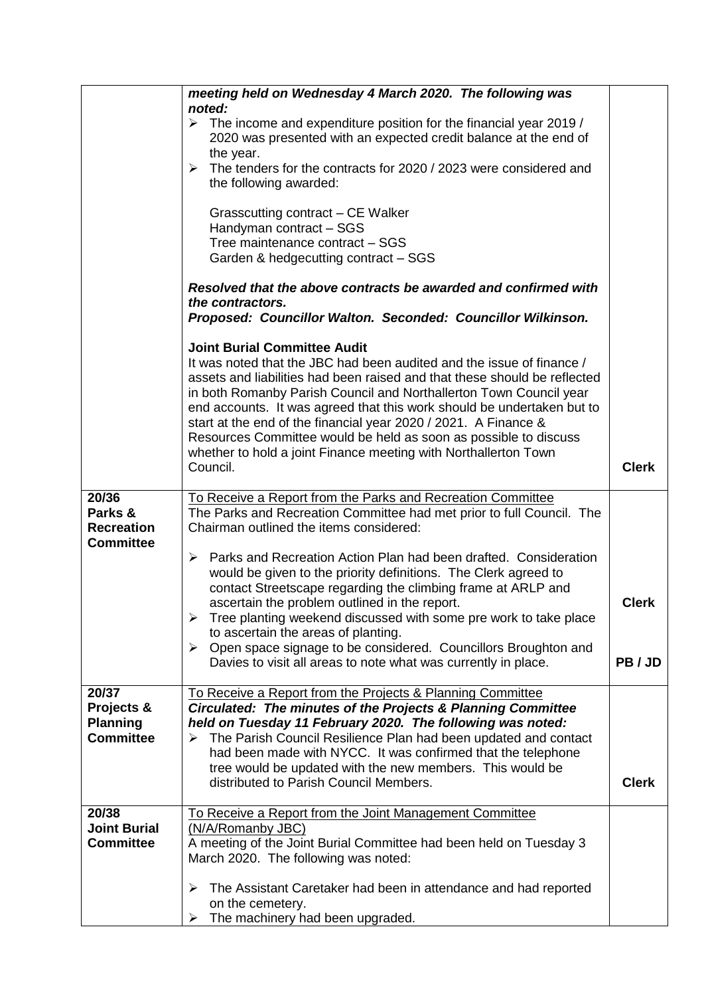|                                                            | meeting held on Wednesday 4 March 2020. The following was                                                                                                                                                                                                                                                                                                                                                                                                                        |              |  |
|------------------------------------------------------------|----------------------------------------------------------------------------------------------------------------------------------------------------------------------------------------------------------------------------------------------------------------------------------------------------------------------------------------------------------------------------------------------------------------------------------------------------------------------------------|--------------|--|
|                                                            | noted:<br>$\triangleright$ The income and expenditure position for the financial year 2019 /<br>2020 was presented with an expected credit balance at the end of<br>the year.                                                                                                                                                                                                                                                                                                    |              |  |
|                                                            | The tenders for the contracts for 2020 / 2023 were considered and<br>➤<br>the following awarded:                                                                                                                                                                                                                                                                                                                                                                                 |              |  |
|                                                            | Grasscutting contract - CE Walker<br>Handyman contract - SGS<br>Tree maintenance contract - SGS<br>Garden & hedgecutting contract - SGS                                                                                                                                                                                                                                                                                                                                          |              |  |
|                                                            | Resolved that the above contracts be awarded and confirmed with<br>the contractors.<br>Proposed: Councillor Walton. Seconded: Councillor Wilkinson.                                                                                                                                                                                                                                                                                                                              |              |  |
|                                                            | <b>Joint Burial Committee Audit</b><br>It was noted that the JBC had been audited and the issue of finance /<br>assets and liabilities had been raised and that these should be reflected<br>in both Romanby Parish Council and Northallerton Town Council year<br>end accounts. It was agreed that this work should be undertaken but to<br>start at the end of the financial year 2020 / 2021. A Finance &<br>Resources Committee would be held as soon as possible to discuss |              |  |
|                                                            | whether to hold a joint Finance meeting with Northallerton Town<br>Council.                                                                                                                                                                                                                                                                                                                                                                                                      | <b>Clerk</b> |  |
| 20/36<br>Parks &<br><b>Recreation</b><br><b>Committee</b>  | To Receive a Report from the Parks and Recreation Committee<br>The Parks and Recreation Committee had met prior to full Council. The<br>Chairman outlined the items considered:                                                                                                                                                                                                                                                                                                  |              |  |
|                                                            | Parks and Recreation Action Plan had been drafted. Consideration<br>➤<br>would be given to the priority definitions. The Clerk agreed to<br>contact Streetscape regarding the climbing frame at ARLP and<br>ascertain the problem outlined in the report.<br>Tree planting weekend discussed with some pre work to take place<br>to ascertain the areas of planting.                                                                                                             | <b>Clerk</b> |  |
|                                                            | ▶ Open space signage to be considered. Councillors Broughton and<br>Davies to visit all areas to note what was currently in place.                                                                                                                                                                                                                                                                                                                                               | PB/JD        |  |
| 20/37<br>Projects &<br><b>Planning</b><br><b>Committee</b> | To Receive a Report from the Projects & Planning Committee<br>Circulated: The minutes of the Projects & Planning Committee<br>held on Tuesday 11 February 2020. The following was noted:<br>$\triangleright$ The Parish Council Resilience Plan had been updated and contact<br>had been made with NYCC. It was confirmed that the telephone<br>tree would be updated with the new members. This would be<br>distributed to Parish Council Members.                              | <b>Clerk</b> |  |
| 20/38                                                      | To Receive a Report from the Joint Management Committee                                                                                                                                                                                                                                                                                                                                                                                                                          |              |  |
| <b>Joint Burial</b><br><b>Committee</b>                    | (N/A/Romanby JBC)<br>A meeting of the Joint Burial Committee had been held on Tuesday 3<br>March 2020. The following was noted:                                                                                                                                                                                                                                                                                                                                                  |              |  |
|                                                            | The Assistant Caretaker had been in attendance and had reported<br>➤<br>on the cemetery.<br>The machinery had been upgraded.                                                                                                                                                                                                                                                                                                                                                     |              |  |